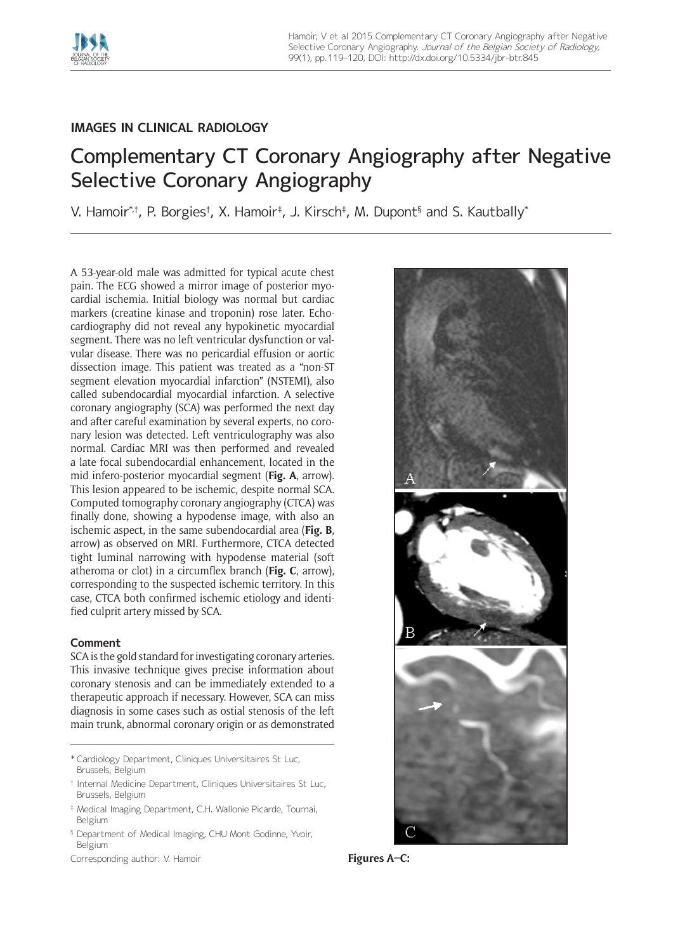

## **IMAGES IN CLINICAL RADIOLOGY**

# Complementary CT Coronary Angiography after Negative Selective Coronary Angiography

V. Hamoir\*i, P. Borgiesi, X. Hamoir‡, J. Kirsch‡, M. Dupont§ and S. Kautbally\*

A 53-year-old male was admitted for typical acute chest pain. The ECG showed a mirror image of posterior myocardial ischemia. Initial biology was normal but cardiac markers (creatine kinase and troponin) rose later. Echocardiography did not reveal any hypokinetic myocardial segment. There was no left ventricular dysfunction or valvular disease. There was no pericardial effusion or aortic dissection image. This patient was treated as a "non-ST segment elevation myocardial infarction" (NSTEMI), also called subendocardial myocardial infarction. A selective coronary angiography (SCA) was performed the next day and after careful examination by several experts, no coronary lesion was detected. Left ventriculography was also normal. Cardiac MRI was then performed and revealed a late focal subendocardial enhancement, located in the mid infero-posterior myocardial segment (**Fig. A**, arrow). This lesion appeared to be ischemic, despite normal SCA. Computed tomography coronary angiography (CTCA) was finally done, showing a hypodense image, with also an ischemic aspect, in the same subendocardial area (**Fig. B**, arrow) as observed on MRI. Furthermore, CTCA detected tight luminal narrowing with hypodense material (soft atheroma or clot) in a circumflex branch (**Fig. C**, arrow), corresponding to the suspected ischemic territory. In this case, CTCA both confirmed ischemic etiology and identified culprit artery missed by SCA.

## **Comment**

SCA is the gold standard for investigating coronary arteries. This invasive technique gives precise information about coronary stenosis and can be immediately extended to a therapeutic approach if necessary. However, SCA can miss diagnosis in some cases such as ostial stenosis of the left main trunk, abnormal coronary origin or as demonstrated

- ‡ Medical Imaging Department, C.H. Wallonie Picarde, Tournai, Belgium
- <sup>§</sup> Department of Medical Imaging, CHU Mont Godinne, Yvoir, Belgium

Corresponding author: V. Hamoir **Figures A–C:** 



<sup>\*</sup> Cardiology Department, Cliniques Universitaires St Luc, Brussels, Belgium

<sup>†</sup> Internal Medicine Department, Cliniques Universitaires St Luc, Brussels, Belgium